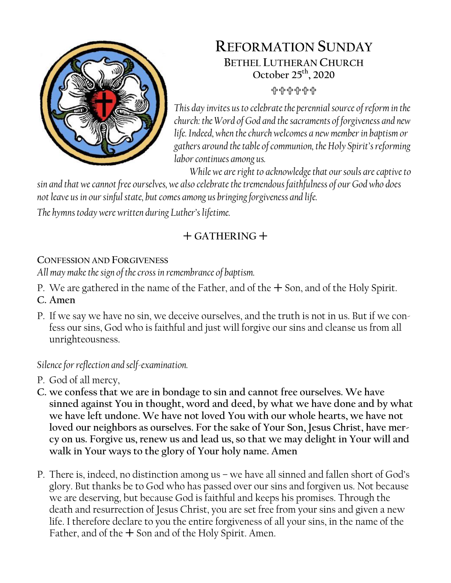

# **REFORMATION SUNDAY BETHEL LUTHERAN CHURCH October 25th, 2020** 유유유유유

*This day invites usto celebrate the perennial source of reform in the church: the Word of God and the sacraments of forgiveness and new life. Indeed, when the church welcomes a new member in baptism or gathers around the table of communion, the Holy Spirit's reforming labor continues among us.*

*While we are right to acknowledge that our souls are captive to* 

*sin and that we cannot free ourselves, we also celebrate the tremendous faithfulness of our God who does not leave us in our sinful state, but comes among us bringing forgiveness and life.*

*The hymns today were written during Luther's lifetime.*

# $+$  GATHERING  $+$

## **CONFESSION AND FORGIVENESS**

*All may make the sign of the cross in remembrance of baptism.*

- P. We are gathered in the name of the Father, and of the  $+$  Son, and of the Holy Spirit.
- **C. Amen**
- P. If we say we have no sin, we deceive ourselves, and the truth is not in us. But if we confess our sins, God who is faithful and just will forgive our sins and cleanse us from all unrighteousness.

## *Silence for reflection and self-examination.*

- P. God of all mercy,
- **C. we confess that we are in bondage to sin and cannot free ourselves. We have sinned against You in thought, word and deed, by what we have done and by what we have left undone. We have not loved You with our whole hearts, we have not loved our neighbors as ourselves. For the sake of Your Son, Jesus Christ, have mercy on us. Forgive us, renew us and lead us, so that we may delight in Your will and walk in Your ways to the glory of Your holy name. Amen**
- P. There is, indeed, no distinction among us we have all sinned and fallen short of God's glory. But thanks be to God who has passed over our sins and forgiven us. Not because we are deserving, but because God is faithful and keeps his promises. Through the death and resurrection of Jesus Christ, you are set free from your sins and given a new life. I therefore declare to you the entire forgiveness of all your sins, in the name of the Father, and of the  $+$  Son and of the Holy Spirit. Amen.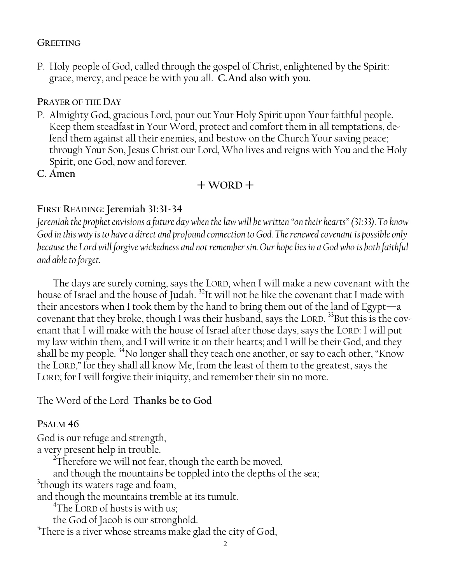#### **GREETING**

P. Holy people of God, called through the gospel of Christ, enlightened by the Spirit: grace, mercy, and peace be with you all. **C.And also with you.**

#### **PRAYER OF THE DAY**

- P. Almighty God, gracious Lord, pour out Your Holy Spirit upon Your faithful people. Keep them steadfast in Your Word, protect and comfort them in all temptations, defend them against all their enemies, and bestow on the Church Your saving peace; through Your Son, Jesus Christ our Lord, Who lives and reigns with You and the Holy Spirit, one God, now and forever.
- **C. Amen**

### $+$  WORD<sup> $+$ </sup>

#### **FIRST READING: Jeremiah 31:31-34**

*Jeremiah the prophet envisions a future day when the law will be written "on their hearts"(31:33). To know God in this way is to have a direct and profound connection to God. The renewed covenant is possible only because the Lord will forgive wickedness and not remember sin. Our hope lies in a God who is both faithful and able to forget.*

The days are surely coming, says the LORD, when I will make a new covenant with the house of Israel and the house of Judah.<sup>32</sup>It will not be like the covenant that I made with their ancestors when I took them by the hand to bring them out of the land of Egypt—a covenant that they broke, though I was their husband, says the LORD.  $^{33}$ But this is the covenant that I will make with the house of Israel after those days, says the LORD: I will put my law within them, and I will write it on their hearts; and I will be their God, and they shall be my people.  $34$ No longer shall they teach one another, or say to each other, "Know the LORD," for they shall all know Me, from the least of them to the greatest, says the LORD; for I will forgive their iniquity, and remember their sin no more.

The Word of the Lord **Thanks be to God**

#### **PSALM 46**

God is our refuge and strength,

a very present help in trouble.

 $2\overline{1}$ herefore we will not fear, though the earth be moved,

and though the mountains be toppled into the depths of the sea;

 $3$ though its waters rage and foam,

and though the mountains tremble at its tumult.

4 The LORD of hosts is with us;

the God of Jacob is our stronghold.

 $5$ There is a river whose streams make glad the city of God,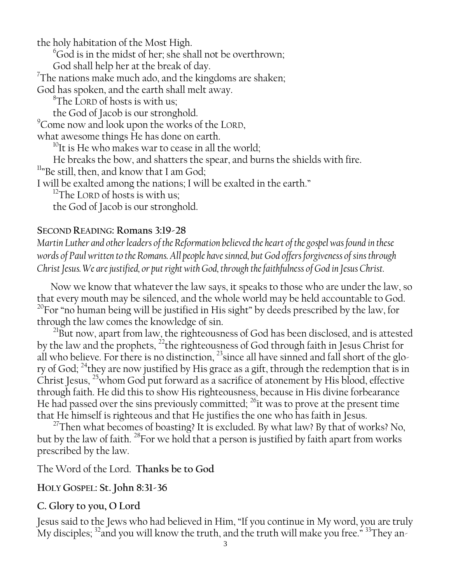the holy habitation of the Most High.

<sup>6</sup>God is in the midst of her; she shall not be overthrown;

God shall help her at the break of day.

 $7$ The nations make much ado, and the kingdoms are shaken;

God has spoken, and the earth shall melt away.

<sup>8</sup>The LORD of hosts is with us;

the God of Jacob is our stronghold.

<sup>9</sup>Come now and look upon the works of the LORD,

what awesome things He has done on earth.

<sup>10</sup>It is He who makes war to cease in all the world;

He breaks the bow, and shatters the spear, and burns the shields with fire.

<sup>11</sup>"Be still, then, and know that I am God;

I will be exalted among the nations; I will be exalted in the earth."

 $12$ The LORD of hosts is with us;

the God of Jacob is our stronghold.

### **SECOND READING: Romans 3:19-28**

*Martin Luther and other leaders of the Reformation believed the heart of the gospel was found in these words of Paul written to the Romans. All people have sinned, but God offers forgiveness of sins through Christ Jesus. We are justified, or put right with God, through the faithfulness of God in Jesus Christ.*

Now we know that whatever the law says, it speaks to those who are under the law, so that every mouth may be silenced, and the whole world may be held accountable to God.  $20$ For "no human being will be justified in His sight" by deeds prescribed by the law, for through the law comes the knowledge of sin.

<sup>21</sup>But now, apart from law, the righteousness of God has been disclosed, and is attested by the law and the prophets, <sup>22</sup>the righteousness of God through faith in Jesus Christ for all who believe. For there is no distinction,  $^{23}$ since all have sinned and fall short of the glory of God; <sup>24</sup>they are now justified by His grace as a gift, through the redemption that is in Christ Jesus, <sup>25</sup>whom God put forward as a sacrifice of atonement by His blood, effective through faith. He did this to show His righteousness, because in His divine forbearance He had passed over the sins previously committed;  $^{26}$  it was to prove at the present time that He himself is righteous and that He justifies the one who has faith in Jesus.

<sup>27</sup>Then what becomes of boasting? It is excluded. By what law? By that of works? No, but by the law of faith. <sup>28</sup>For we hold that a person is justified by faith apart from works prescribed by the law.

The Word of the Lord. **Thanks be to God**

### **HOLY GOSPEL: St. John 8:31-36**

## **C. Glory to you, O Lord**

Jesus said to the Jews who had believed in Him, "If you continue in My word, you are truly My disciples;  $\mathrm{^{32} and}$  you will know the truth, and the truth will make you free."  $\mathrm{^{33} They}$  an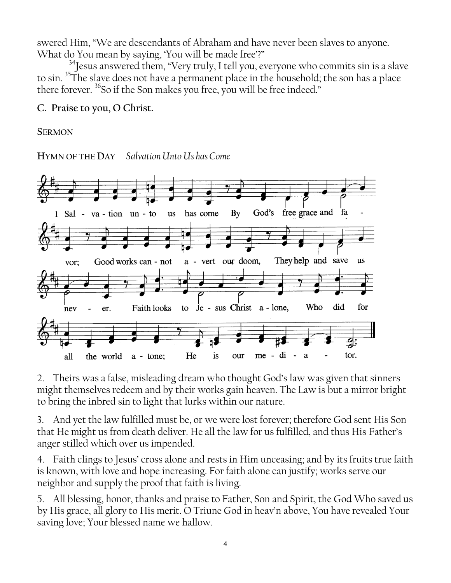swered Him, "We are descendants of Abraham and have never been slaves to anyone. What do You mean by saying, 'You will be made free'?"

<sup>34</sup>Jesus answered them, "Very truly, I tell you, everyone who commits sin is a slave to sin. <sup>35</sup>The slave does not have a permanent place in the household; the son has a place there forever. <sup>36</sup>So if the Son makes you free, you will be free indeed."

**C. Praise to you, O Christ.**

#### **SERMON**

**HYMN OF THE DAY** *Salvation Unto Us has Come*



2. Theirs was a false, misleading dream who thought God's law was given that sinners might themselves redeem and by their works gain heaven. The Law is but a mirror bright to bring the inbred sin to light that lurks within our nature.

3. And yet the law fulfilled must be, or we were lost forever; therefore God sent His Son that He might us from death deliver. He all the law for us fulfilled, and thus His Father's anger stilled which over us impended.

4. Faith clings to Jesus' cross alone and rests in Him unceasing; and by its fruits true faith is known, with love and hope increasing. For faith alone can justify; works serve our neighbor and supply the proof that faith is living.

5. All blessing, honor, thanks and praise to Father, Son and Spirit, the God Who saved us by His grace, all glory to His merit. O Triune God in heav'n above, You have revealed Your saving love; Your blessed name we hallow.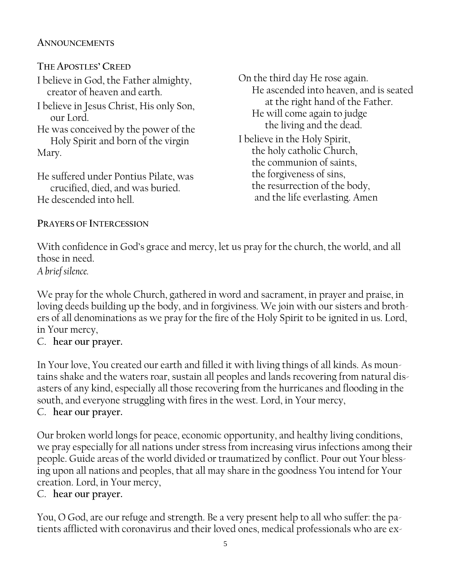#### **ANNOUNCEMENTS**

**THE APOSTLES' CREED**

I believe in God, the Father almighty, creator of heaven and earth.

I believe in Jesus Christ, His only Son, our Lord.

He was conceived by the power of the Holy Spirit and born of the virgin Mary.

He suffered under Pontius Pilate, was crucified, died, and was buried. He descended into hell.

On the third day He rose again. He ascended into heaven, and is seated at the right hand of the Father. He will come again to judge the living and the dead.

I believe in the Holy Spirit, the holy catholic Church, the communion of saints, the forgiveness of sins, the resurrection of the body, and the life everlasting. Amen

### **PRAYERS OF INTERCESSION**

With confidence in God's grace and mercy, let us pray for the church, the world, and all those in need. *A brief silence.*

We pray for the whole Church, gathered in word and sacrament, in prayer and praise, in loving deeds building up the body, and in forgiviness. We join with our sisters and brothers of all denominations as we pray for the fire of the Holy Spirit to be ignited in us. Lord, in Your mercy,

## C. **hear our prayer.**

In Your love, You created our earth and filled it with living things of all kinds. As mountains shake and the waters roar, sustain all peoples and lands recovering from natural disasters of any kind, especially all those recovering from the hurricanes and flooding in the south, and everyone struggling with fires in the west. Lord, in Your mercy, C. **hear our prayer.**

Our broken world longs for peace, economic opportunity, and healthy living conditions, we pray especially for all nations under stress from increasing virus infections among their people. Guide areas of the world divided or traumatized by conflict. Pour out Your blessing upon all nations and peoples, that all may share in the goodness You intend for Your creation. Lord, in Your mercy,

## C. **hear our prayer.**

You, O God, are our refuge and strength. Be a very present help to all who suffer: the patients afflicted with coronavirus and their loved ones, medical professionals who are ex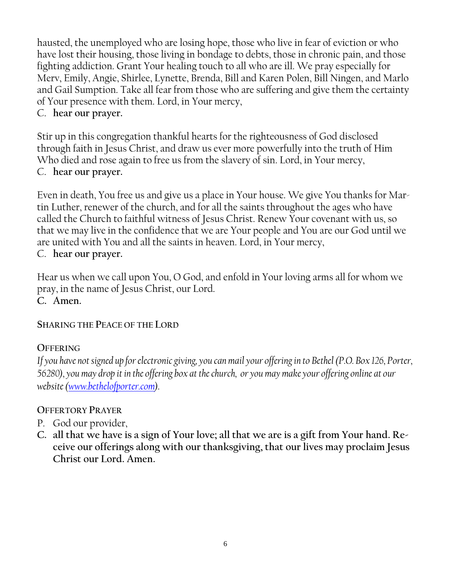hausted, the unemployed who are losing hope, those who live in fear of eviction or who have lost their housing, those living in bondage to debts, those in chronic pain, and those fighting addiction. Grant Your healing touch to all who are ill. We pray especially for Merv, Emily, Angie, Shirlee, Lynette, Brenda, Bill and Karen Polen, Bill Ningen, and Marlo and Gail Sumption. Take all fear from those who are suffering and give them the certainty of Your presence with them. Lord, in Your mercy,

### C. **hear our prayer.**

Stir up in this congregation thankful hearts for the righteousness of God disclosed through faith in Jesus Christ, and draw us ever more powerfully into the truth of Him Who died and rose again to free us from the slavery of sin. Lord, in Your mercy, C. **hear our prayer.**

Even in death, You free us and give us a place in Your house. We give You thanks for Martin Luther, renewer of the church, and for all the saints throughout the ages who have called the Church to faithful witness of Jesus Christ. Renew Your covenant with us, so that we may live in the confidence that we are Your people and You are our God until we are united with You and all the saints in heaven. Lord, in Your mercy,

C. **hear our prayer.**

Hear us when we call upon You, O God, and enfold in Your loving arms all for whom we pray, in the name of Jesus Christ, our Lord. **C. Amen.**

#### **SHARING THE PEACE OF THE LORD**

#### **OFFERING**

*If you have not signed up for electronic giving, you can mail your offering in to Bethel (P.O. Box 126, Porter, 56280), you may drop it in the offering box at the church, or you may make your offering online at our website [\(www.bethelofporter.com\)](http://www.bethelofporter.com/).* 

#### **OFFERTORY PRAYER**

- P. God our provider,
- **C. all that we have is a sign of Your love; all that we are is a gift from Your hand. Receive our offerings along with our thanksgiving, that our lives may proclaim Jesus Christ our Lord. Amen.**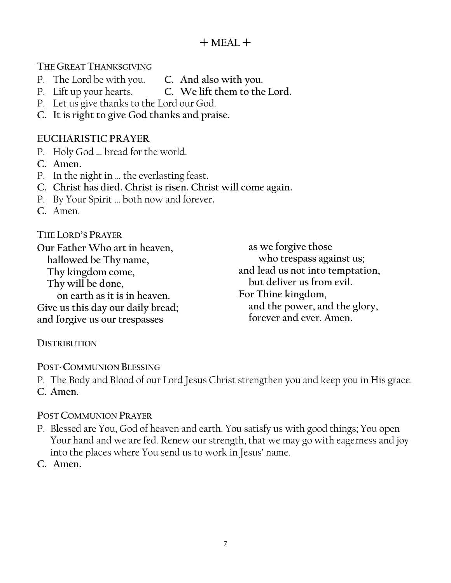### $+$  MEAL  $+$

**THE GREAT THANKSGIVING** 

- P. The Lord be with you. **C. And also with you.**
- P. Lift up your hearts. **C. We lift them to the Lord.**
- P. Let us give thanks to the Lord our God.
- **C. It is right to give God thanks and praise.**

#### **EUCHARISTIC PRAYER**

- P. Holy God … bread for the world.
- **C. Amen.**
- P. In the night in … the everlasting feast**.**
- **C. Christ has died. Christ is risen. Christ will come again.**
- P. By Your Spirit … both now and forever**.**
- **C.** Amen.

**THE LORD'S PRAYER**

**Our Father Who art in heaven, hallowed be Thy name, Thy kingdom come, Thy will be done, on earth as it is in heaven. Give us this day our daily bread; and forgive us our trespasses**

**as we forgive those who trespass against us; and lead us not into temptation, but deliver us from evil. For Thine kingdom, and the power, and the glory, forever and ever. Amen.**

#### **DISTRIBUTION**

**POST-COMMUNION BLESSING**

P. The Body and Blood of our Lord Jesus Christ strengthen you and keep you in His grace. **C. Amen.**

#### **POST COMMUNION PRAYER**

P. Blessed are You, God of heaven and earth. You satisfy us with good things; You open Your hand and we are fed. Renew our strength, that we may go with eagerness and joy into the places where You send us to work in Jesus' name.

**C. Amen.**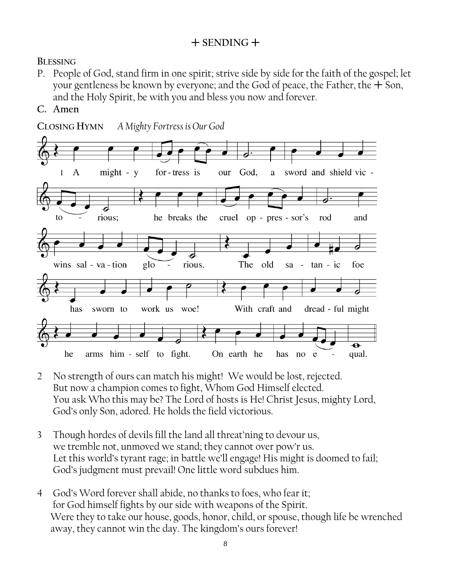### $+$  SENDING  $+$

#### **BLESSING**

- P. People of God, stand firm in one spirit; strive side by side for the faith of the gospel; let your gentleness be known by everyone; and the God of peace, the Father, the  $+$  Son, and the Holy Spirit, be with you and bless you now and forever.
- **C. Amen**



- 2 No strength of ours can match his might! We would be lost, rejected. But now a champion comes to fight, Whom God Himself elected. You ask Who this may be? The Lord of hosts is He! Christ Jesus, mighty Lord, God's only Son, adored. He holds the field victorious.
- 3 Though hordes of devils fill the land all threat'ning to devour us, we tremble not, unmoved we stand; they cannot over pow'r us. Let this world's tyrant rage; in battle we'll engage! His might is doomed to fail; God's judgment must prevail! One little word subdues him.
- 4 God's Word forever shall abide, no thanks to foes, who fear it; for God himself fights by our side with weapons of the Spirit. Were they to take our house, goods, honor, child, or spouse, though life be wrenched away, they cannot win the day. The kingdom's ours forever!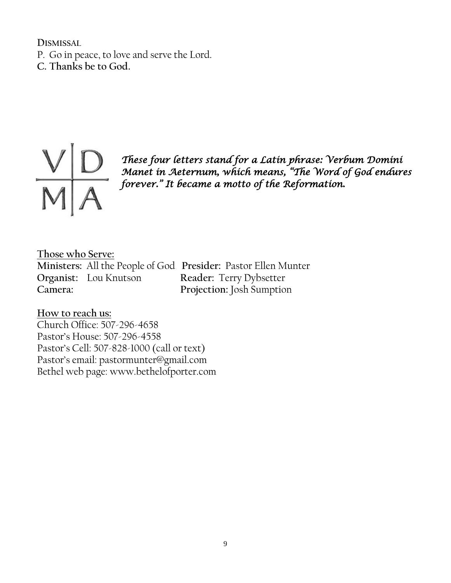**DISMISSAL** P. Go in peace, to love and serve the Lord. **C. Thanks be to God.** 



*These four letters stand for a Latin phrase: Verbum Domini Manet in Aeternum, which means, "The Word of God endures forever." It became a motto of the Reformation.* 

**Those who Serve:**

**Ministers:** All the People of God **Presider:** Pastor Ellen Munter **Organist:** Lou Knutson **Reader:** Terry Dybsetter **Camera: Projection:** Josh Sumption

**How to reach us:** Church Office: 507-296-4658 Pastor's House: 507-296-4558 Pastor's Cell: 507-828-1000 (call or text) Pastor's email: pastormunter@gmail.com Bethel web page: www.bethelofporter.com